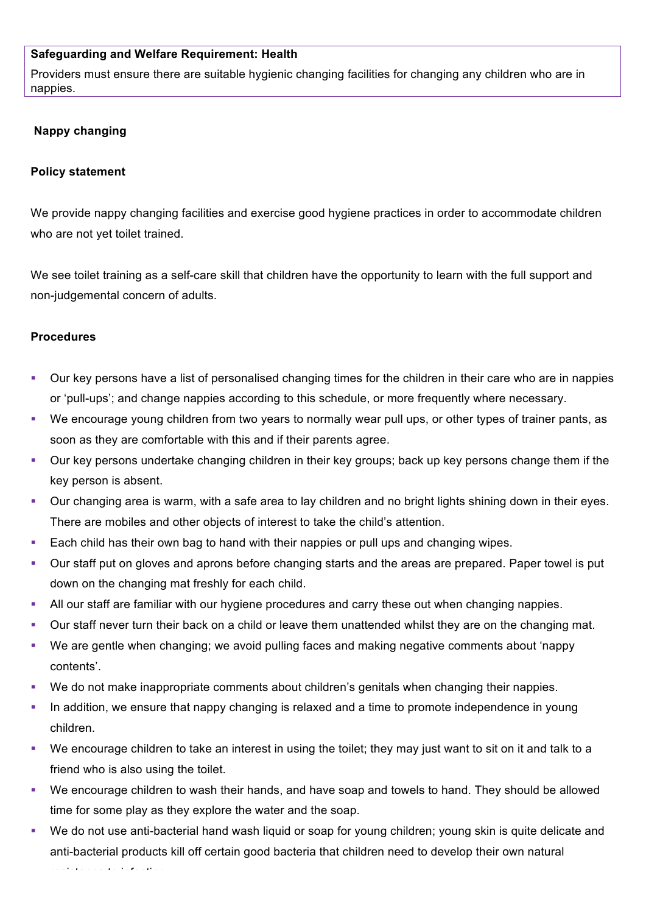## **Safeguarding and Welfare Requirement: Health**

Providers must ensure there are suitable hygienic changing facilities for changing any children who are in nappies.

## **Nappy changing**

## **Policy statement**

We provide nappy changing facilities and exercise good hygiene practices in order to accommodate children who are not yet toilet trained.

We see toilet training as a self-care skill that children have the opportunity to learn with the full support and non-judgemental concern of adults.

## **Procedures**

- § Our key persons have a list of personalised changing times for the children in their care who are in nappies or 'pull-ups'; and change nappies according to this schedule, or more frequently where necessary.
- § We encourage young children from two years to normally wear pull ups, or other types of trainer pants, as soon as they are comfortable with this and if their parents agree.
- Our key persons undertake changing children in their key groups; back up key persons change them if the key person is absent.
- Our changing area is warm, with a safe area to lay children and no bright lights shining down in their eyes. There are mobiles and other objects of interest to take the child's attention.
- Each child has their own bag to hand with their nappies or pull ups and changing wipes.
- § Our staff put on gloves and aprons before changing starts and the areas are prepared. Paper towel is put down on the changing mat freshly for each child.
- All our staff are familiar with our hygiene procedures and carry these out when changing nappies.
- § Our staff never turn their back on a child or leave them unattended whilst they are on the changing mat.
- We are gentle when changing; we avoid pulling faces and making negative comments about 'nappy contents'.
- § We do not make inappropriate comments about children's genitals when changing their nappies.
- In addition, we ensure that nappy changing is relaxed and a time to promote independence in young children.
- We encourage children to take an interest in using the toilet; they may just want to sit on it and talk to a friend who is also using the toilet.
- § We encourage children to wash their hands, and have soap and towels to hand. They should be allowed time for some play as they explore the water and the soap.
- We do not use anti-bacterial hand wash liquid or soap for young children; young skin is quite delicate and anti-bacterial products kill off certain good bacteria that children need to develop their own natural